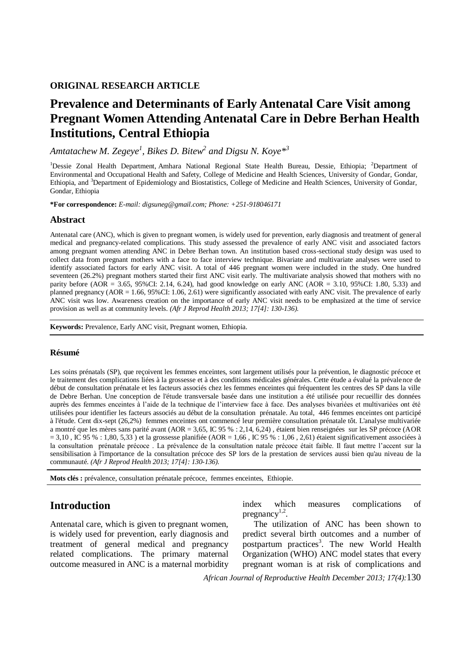### **ORIGINAL RESEARCH ARTICLE**

# **Prevalence and Determinants of Early Antenatal Care Visit among Pregnant Women Attending Antenatal Care in Debre Berhan Health Institutions, Central Ethiopia**

*Amtatachew M. Zegeye<sup>1</sup> , Bikes D. Bitew<sup>2</sup> and Digsu N. Koye\* 3*

<sup>1</sup>Dessie Zonal Health Department, Amhara National Regional State Health Bureau, Dessie, Ethiopia; <sup>2</sup>Department of Environmental and Occupational Health and Safety, College of Medicine and Health Sciences, University of Gondar, Gondar, Ethiopia, and <sup>3</sup>Department of Epidemiology and Biostatistics, College of Medicine and Health Sciences, University of Gondar, Gondar, Ethiopia

**\*For correspondence:** *E-mail: digsuneg@gmail.com; Phone: +251-918046171*

### **Abstract**

Antenatal care (ANC), which is given to pregnant women, is widely used for prevention, early diagnosis and treatment of general medical and pregnancy-related complications. This study assessed the prevalence of early ANC visit and associated factors among pregnant women attending ANC in Debre Berhan town. An institution based cross-sectional study design was used to collect data from pregnant mothers with a face to face interview technique. Bivariate and multivariate analyses were used to identify associated factors for early ANC visit. A total of 446 pregnant women were included in the study. One hundred seventeen (26.2%) pregnant mothers started their first ANC visit early. The multivariate analysis showed that mothers with no parity before (AOR = 3.65, 95%CI: 2.14, 6.24), had good knowledge on early ANC (AOR = 3.10, 95%CI: 1.80, 5.33) and planned pregnancy (AOR = 1.66, 95%CI: 1.06, 2.61) were significantly associated with early ANC visit. The prevalence of early ANC visit was low. Awareness creation on the importance of early ANC visit needs to be emphasized at the time of service provision as well as at community levels. *(Afr J Reprod Health 2013; 17[4]: 130-136).*

**Keywords:** Prevalence, Early ANC visit, Pregnant women, Ethiopia.

#### **Résumé**

Les soins prénatals (SP), que recoivent les femmes enceintes, sont largement utilisés pour la prévention, le diagnostic précoce et le traitement des complications liées à la grossesse et à des conditions médicales générales. Cette étude a évalué la prévalence de début de consultation prénatale et les facteurs associés chez les femmes enceintes qui fréquentent les centres des SP dans la ville de Debre Berhan. Une conception de l'étude transversale basée dans une institution a été utilisée pour recueillir des données auprès des femmes enceintes à l'aide de la technique de l'interview face à face. Des analyses bivariées et multivariées ont été utilisées pour identifier les facteurs associés au début de la consultation prénatale. Au total, 446 femmes enceintes ont participé à l'étude. Cent dix-sept (26,2%) femmes enceintes ont commencé leur première consultation prénatale tôt. L'analyse multivariée a montré que les mères sans parité avant (AOR = 3,65, IC 95 % : 2,14, 6,24) , étaient bien renseignées sur les SP précoce (AOR  $= 3,10$ , IC 95 % : 1,80, 5,33) et la grossesse planifiée (AOR = 1,66, IC 95 % : 1,06, 2,61) étaient significativement associées à la consultation prénatale précoce . La prévalence de la consultation natale précoce était faible. Il faut mettre l'accent sur la sensibilisation à l'importance de la consultation précoce des SP lors de la prestation de services aussi bien qu'au niveau de la communauté. *(Afr J Reprod Health 2013; 17[4]: 130-136).*

**Mots clés :** prévalence, consultation prénatale précoce, femmes enceintes, Ethiopie.

## **Introduction**

Antenatal care, which is given to pregnant women, is widely used for prevention, early diagnosis and treatment of general medical and pregnancy related complications. The primary maternal outcome measured in ANC is a maternal morbidity index which measures complications of pregnancy $1,2$ .

The utilization of ANC has been shown to predict several birth outcomes and a number of postpartum practices<sup>3</sup>. The new World Health Organization (WHO) ANC model states that every pregnant woman is at risk of complications and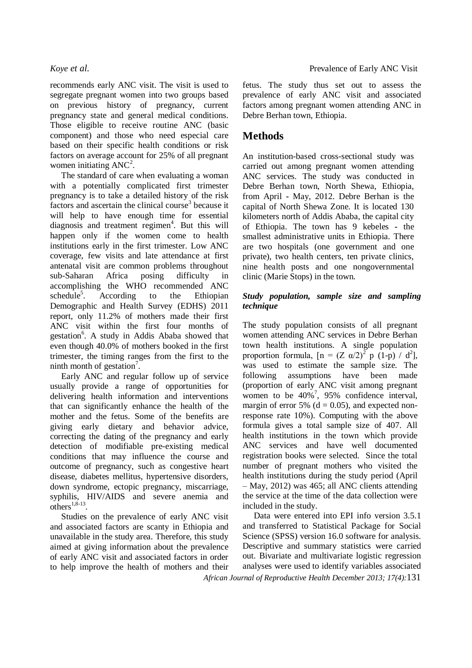recommends early ANC visit. The visit is used to segregate pregnant women into two groups based on previous history of pregnancy, current pregnancy state and general medical conditions. Those eligible to receive routine ANC (basic component) and those who need especial care based on their specific health conditions or risk factors on average account for 25% of all pregnant women initiating  $\text{ANC}^2$ .

The standard of care when evaluating a woman with a potentially complicated first trimester pregnancy is to take a detailed history of the risk factors and ascertain the clinical course<sup>3</sup> because it will help to have enough time for essential diagnosis and treatment regimen<sup>4</sup>. But this will happen only if the women come to health institutions early in the first trimester. Low ANC coverage, few visits and late attendance at first antenatal visit are common problems throughout sub-Saharan Africa posing difficulty in accomplishing the WHO recommended ANC  $s$ chedule<sup>5</sup>. . According to the Ethiopian Demographic and Health Survey (EDHS) 2011 report, only 11.2% of mothers made their first ANC visit within the first four months of gestation<sup>6</sup>. A study in Addis Ababa showed that even though 40.0% of mothers booked in the first trimester, the timing ranges from the first to the ninth month of gestation<sup>7</sup>.

Early ANC and regular follow up of service usually provide a range of opportunities for delivering health information and interventions that can significantly enhance the health of the mother and the fetus. Some of the benefits are giving early dietary and behavior advice, correcting the dating of the pregnancy and early detection of modifiable pre-existing medical conditions that may influence the course and outcome of pregnancy, such as congestive heart disease, diabetes mellitus, hypertensive disorders, down syndrome, ectopic pregnancy, miscarriage, syphilis, HIV/AIDS and severe anemia and  $\overline{\text{others}}^{1,8-13}$ .

Studies on the prevalence of early ANC visit and associated factors are scanty in Ethiopia and unavailable in the study area. Therefore, this study aimed at giving information about the prevalence of early ANC visit and associated factors in order to help improve the health of mothers and their

fetus. The study thus set out to assess the prevalence of early ANC visit and associated factors among pregnant women attending ANC in Debre Berhan town, Ethiopia.

## **Methods**

An institution-based cross-sectional study was carried out among pregnant women attending ANC services. The study was conducted in Debre Berhan town, North Shewa, Ethiopia, from April **-** May, 2012. Debre Berhan is the capital of North Shewa Zone. It is located 130 kilometers north of Addis Ababa, the capital city of Ethiopia. The town has 9 kebeles **-** the smallest administrative units in Ethiopia. There are two hospitals (one government and one private), two health centers, ten private clinics, nine health posts and one nongovernmental clinic (Marie Stops) in the town.

### *Study population, sample size and sampling technique*

The study population consists of all pregnant women attending ANC services in Debre Berhan town health institutions. A single population proportion formula,  $[n = (Z \alpha/2)^2 p (1-p) / d^2]$ , was used to estimate the sample size. The following assumptions have been made (proportion of early ANC visit among pregnant women to be  $40\%$ <sup>7</sup>, 95% confidence interval, margin of error 5% ( $d = 0.05$ ), and expected nonresponse rate 10%). Computing with the above formula gives a total sample size of 407. All health institutions in the town which provide ANC services and have well documented registration books were selected. Since the total number of pregnant mothers who visited the health institutions during the study period (April – May, 2012) was 465; all ANC clients attending the service at the time of the data collection were included in the study.

*African Journal of Reproductive Health December 2013; 17(4):*131 Data were entered into EPI info version 3.5.1 and transferred to Statistical Package for Social Science (SPSS) version 16.0 software for analysis. Descriptive and summary statistics were carried out. Bivariate and multivariate logistic regression analyses were used to identify variables associated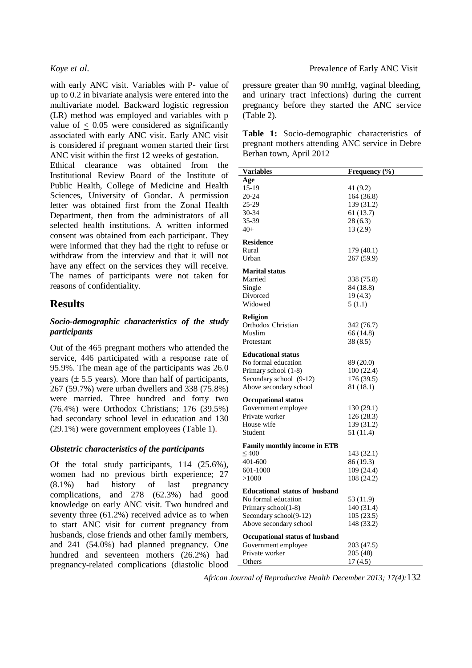with early ANC visit. Variables with P- value of up to 0.2 in bivariate analysis were entered into the multivariate model. Backward logistic regression (LR) method was employed and variables with p value of  $\leq$  0.05 were considered as significantly associated with early ANC visit. Early ANC visit is considered if pregnant women started their first ANC visit within the first 12 weeks of gestation.

Ethical clearance was obtained from the Institutional Review Board of the Institute of Public Health, College of Medicine and Health Sciences, University of Gondar. A permission letter was obtained first from the Zonal Health Department, then from the administrators of all selected health institutions. A written informed consent was obtained from each participant. They were informed that they had the right to refuse or withdraw from the interview and that it will not have any effect on the services they will receive. The names of participants were not taken for reasons of confidentiality.

## **Results**

### *Socio-demographic characteristics of the study participants*

Out of the 465 pregnant mothers who attended the service, 446 participated with a response rate of 95.9%. The mean age of the participants was 26.0 years  $(\pm 5.5$  years). More than half of participants, 267 (59.7%) were urban dwellers and 338 (75.8%) were married. Three hundred and forty two (76.4%) were Orthodox Christians; 176 (39.5%) had secondary school level in education and 130 (29.1%) were government employees (Table 1).

#### *Obstetric characteristics of the participants*

Of the total study participants, 114 (25.6%), women had no previous birth experience; 27 (8.1%) had history of last pregnancy complications, and 278 (62.3%) had good knowledge on early ANC visit. Two hundred and seventy three (61.2%) received advice as to when to start ANC visit for current pregnancy from husbands, close friends and other family members, and 241 (54.0%) had planned pregnancy. One hundred and seventeen mothers (26.2%) had pregnancy-related complications (diastolic blood

#### *Koye et al.* Prevalence of Early ANC Visit

pressure greater than 90 mmHg, vaginal bleeding, and urinary tract infections) during the current pregnancy before they started the ANC service (Table 2).

**Table 1:** Socio-demographic characteristics of pregnant mothers attending ANC service in Debre Berhan town, April 2012

| <b>Variables</b>                     | Frequency (%) |
|--------------------------------------|---------------|
| Age                                  |               |
| 15-19                                | 41 (9.2)      |
| 20-24                                | 164 (36.8)    |
| 25-29                                | 139 (31.2)    |
| 30-34                                | 61 (13.7)     |
| 35-39                                | 28 (6.3)      |
| $40+$                                | 13 (2.9)      |
| <b>Residence</b>                     |               |
| Rural                                | 179 (40.1)    |
| Urban                                | 267 (59.9)    |
| <b>Marital status</b>                |               |
| Married                              | 338 (75.8)    |
| Single                               | 84 (18.8)     |
| Divorced                             | 19(4.3)       |
| Widowed                              | 5 (1.1)       |
|                                      |               |
| <b>Religion</b>                      |               |
| Orthodox Christian                   | 342 (76.7)    |
| Muslim                               | 66 (14.8)     |
| Protestant                           | 38 (8.5)      |
| <b>Educational status</b>            |               |
| No formal education                  | 89 (20.0)     |
| Primary school (1-8)                 | 100 (22.4)    |
| Secondary school (9-12)              | 176 (39.5)    |
| Above secondary school               | 81 (18.1)     |
| <b>Occupational status</b>           |               |
| Government employee                  | 130 (29.1)    |
| Private worker                       | 126 (28.3)    |
| House wife                           | 139 (31.2)    |
| Student                              | 51 (11.4)     |
| <b>Family monthly income in ETB</b>  |               |
| $\leq 400$                           | 143 (32.1)    |
| 401-600                              | 86 (19.3)     |
|                                      |               |
| 601-1000                             | 109 (24.4)    |
| >1000                                | 108 (24.2)    |
| <b>Educational status of husband</b> |               |
| No formal education                  | 53 (11.9)     |
| Primary school(1-8)                  | 140 (31.4)    |
| Secondary school(9-12)               | 105(23.5)     |
| Above secondary school               | 148 (33.2)    |
| Occupational status of husband       |               |
| Government employee                  | 203 (47.5)    |
| Private worker                       | 205 (48)      |
| Others                               | 17(4.5)       |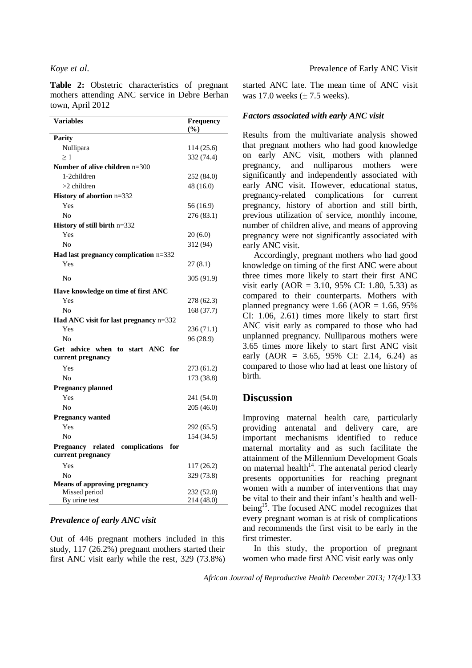**Table 2:** Obstetric characteristics of pregnant mothers attending ANC service in Debre Berhan town, April 2012

| <b>Variables</b>                                                      | Frequency<br>$(\%)$ |
|-----------------------------------------------------------------------|---------------------|
| <b>Parity</b>                                                         |                     |
| Nullipara                                                             | 114 (25.6)          |
| $\geq 1$                                                              | 332 (74.4)          |
| Number of alive children $n=300$                                      |                     |
| 1-2children                                                           | 252 (84.0)          |
| $>2$ children                                                         | 48 (16.0)           |
| History of abortion n=332                                             |                     |
| Yes                                                                   | 56 (16.9)           |
| N <sub>0</sub>                                                        | 276 (83.1)          |
| History of still birth n=332                                          |                     |
| Yes                                                                   | 20(6.0)             |
| N <sub>0</sub>                                                        | 312 (94)            |
| Had last pregnancy complication n=332                                 |                     |
| Yes                                                                   | 27(8.1)             |
| No                                                                    | 305 (91.9)          |
| Have knowledge on time of first ANC                                   |                     |
| Yes                                                                   | 278 (62.3)          |
| N <sub>0</sub>                                                        | 168 (37.7)          |
| Had ANC visit for last pregnancy n=332                                |                     |
| Yes                                                                   | 236 (71.1)          |
| N <sub>0</sub>                                                        | 96 (28.9)           |
| Get advice when to start ANC<br>for<br>current pregnancy              |                     |
| Yes                                                                   | 273 (61.2)          |
| N <sub>0</sub>                                                        | 173 (38.8)          |
| <b>Pregnancy planned</b>                                              |                     |
| Yes                                                                   | 241 (54.0)          |
| N <sub>0</sub>                                                        | 205 (46.0)          |
| <b>Pregnancy wanted</b>                                               |                     |
| Yes                                                                   | 292 (65.5)          |
| No                                                                    | 154 (34.5)          |
| related complications<br>for<br><b>Pregnancy</b><br>current pregnancy |                     |
| Yes                                                                   | 117 (26.2)          |
| No                                                                    | 329 (73.8)          |
| <b>Means of approving pregnancy</b>                                   |                     |
| Missed period                                                         | 232 (52.0)          |
| By urine test                                                         | 214 (48.0)          |

#### *Prevalence of early ANC visit*

Out of 446 pregnant mothers included in this study, 117 (26.2%) pregnant mothers started their first ANC visit early while the rest, 329 (73.8%) started ANC late. The mean time of ANC visit was 17.0 weeks  $(\pm 7.5$  weeks).

#### *Factors associated with early ANC visit*

Results from the multivariate analysis showed that pregnant mothers who had good knowledge on early ANC visit, mothers with planned pregnancy, and nulliparous mothers were significantly and independently associated with early ANC visit. However, educational status, pregnancy-related complications for current pregnancy, history of abortion and still birth, previous utilization of service, monthly income, number of children alive, and means of approving pregnancy were not significantly associated with early ANC visit.

Accordingly, pregnant mothers who had good knowledge on timing of the first ANC were about three times more likely to start their first ANC visit early  $(AOR = 3.10, 95\% \text{ CI: } 1.80, 5.33)$  as compared to their counterparts. Mothers with planned pregnancy were  $1.66$  (AOR =  $1.66$ , 95%) CI: 1.06, 2.61) times more likely to start first ANC visit early as compared to those who had unplanned pregnancy. Nulliparous mothers were 3.65 times more likely to start first ANC visit early  $(AOR = 3.65, 95\% \text{ CI: } 2.14, 6.24)$  as compared to those who had at least one history of birth.

## **Discussion**

Improving maternal health care, particularly providing antenatal and delivery care, are important mechanisms identified to reduce maternal mortality and as such facilitate the attainment of the Millennium Development Goals on maternal health<sup> $14$ </sup>. The antenatal period clearly presents opportunities for reaching pregnant women with a number of interventions that may be vital to their and their infant's health and wellbeing<sup>15</sup>. The focused ANC model recognizes that every pregnant woman is at risk of complications and recommends the first visit to be early in the first trimester.

In this study, the proportion of pregnant women who made first ANC visit early was only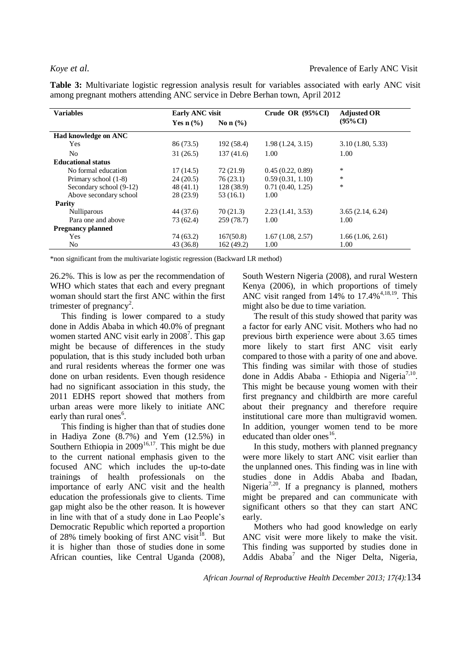**Table 3:** Multivariate logistic regression analysis result for variables associated with early ANC visit among pregnant mothers attending ANC service in Debre Berhan town, April 2012

| <b>Variables</b>          | <b>Early ANC visit</b>          |              | Crude OR $(95\%$ CI) | <b>Adjusted OR</b> |
|---------------------------|---------------------------------|--------------|----------------------|--------------------|
|                           | Yes $n\left(\frac{9}{6}\right)$ | No n $(\% )$ |                      | $(95\%$ CI         |
| Had knowledge on ANC      |                                 |              |                      |                    |
| <b>Yes</b>                | 86 (73.5)                       | 192 (58.4)   | 1.98(1.24, 3.15)     | 3.10(1.80, 5.33)   |
| No.                       | 31(26.5)                        | 137(41.6)    | 1.00                 | 1.00               |
| <b>Educational status</b> |                                 |              |                      |                    |
| No formal education       | 17(14.5)                        | 72 (21.9)    | 0.45(0.22, 0.89)     | *                  |
| Primary school (1-8)      | 24(20.5)                        | 76(23.1)     | 0.59(0.31, 1.10)     | $\ast$             |
| Secondary school (9-12)   | 48(41.1)                        | 128(38.9)    | 0.71(0.40, 1.25)     | $\ast$             |
| Above secondary school    | 28(23.9)                        | 53(16.1)     | 1.00                 |                    |
| Parity                    |                                 |              |                      |                    |
| <b>Nulliparous</b>        | 44 (37.6)                       | 70(21.3)     | 2.23(1.41, 3.53)     | 3.65(2.14, 6.24)   |
| Para one and above        | 73 (62.4)                       | 259 (78.7)   | 1.00                 | 1.00               |
| <b>Pregnancy planned</b>  |                                 |              |                      |                    |
| Yes                       | 74 (63.2)                       | 167(50.8)    | 1.67(1.08, 2.57)     | 1.66(1.06, 2.61)   |
| N <sub>0</sub>            | 43 (36.8)                       | 162(49.2)    | 1.00                 | 1.00               |

\*non significant from the multivariate logistic regression (Backward LR method)

26.2%. This is low as per the recommendation of WHO which states that each and every pregnant woman should start the first ANC within the first trimester of pregnancy<sup>2</sup>.

This finding is lower compared to a study done in Addis Ababa in which 40.0% of pregnant women started ANC visit early in 2008<sup>7</sup>. This gap might be because of differences in the study population, that is this study included both urban and rural residents whereas the former one was done on urban residents. Even though residence had no significant association in this study, the 2011 EDHS report showed that mothers from urban areas were more likely to initiate ANC early than rural ones<sup>6</sup>.

This finding is higher than that of studies done in Hadiya Zone (8.7%) and Yem (12.5%) in Southern Ethiopia in  $2009^{16,17}$ . This might be due to the current national emphasis given to the focused ANC which includes the up-to-date trainings of health professionals on the importance of early ANC visit and the health education the professionals give to clients. Time gap might also be the other reason. It is however in line with that of a study done in Lao People's Democratic Republic which reported a proportion of 28% timely booking of first ANC visit<sup>18</sup>. But it is higher than those of studies done in some African counties, like Central Uganda (2008), South Western Nigeria (2008), and rural Western Kenya (2006), in which proportions of timely ANC visit ranged from  $14\%$  to  $17.4\%$ <sup>4,18,19</sup>. This might also be due to time variation.

The result of this study showed that parity was a factor for early ANC visit. Mothers who had no previous birth experience were about 3.65 times more likely to start first ANC visit early compared to those with a parity of one and above. This finding was similar with those of studies done in Addis Ababa - Ethiopia and Nigeria<sup>7,10</sup>. This might be because young women with their first pregnancy and childbirth are more careful about their pregnancy and therefore require institutional care more than multigravid women. In addition, younger women tend to be more educated than older ones<sup>16</sup>.

In this study, mothers with planned pregnancy were more likely to start ANC visit earlier than the unplanned ones. This finding was in line with studies done in Addis Ababa and Ibadan, Nigeria<sup>7,20</sup>. If a pregnancy is planned, mothers might be prepared and can communicate with significant others so that they can start ANC early.

Mothers who had good knowledge on early ANC visit were more likely to make the visit. This finding was supported by studies done in Addis Ababa<sup>7</sup> and the Niger Delta, Nigeria,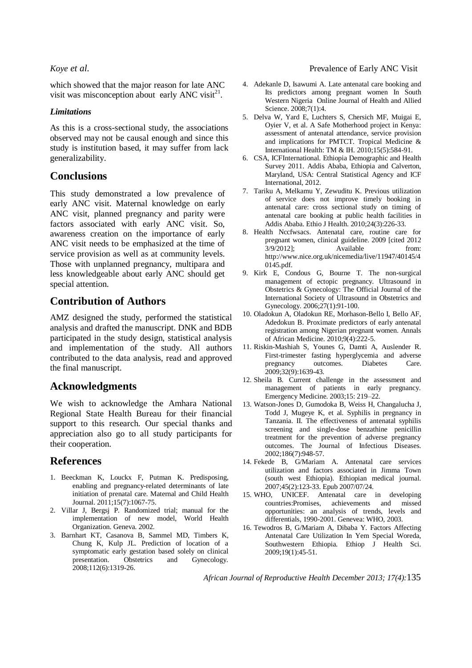which showed that the major reason for late ANC visit was misconception about early ANC visit $^{21}$ .

### *Limitations*

As this is a cross-sectional study, the associations observed may not be causal enough and since this study is institution based, it may suffer from lack generalizability.

## **Conclusions**

This study demonstrated a low prevalence of early ANC visit. Maternal knowledge on early ANC visit, planned pregnancy and parity were factors associated with early ANC visit. So, awareness creation on the importance of early ANC visit needs to be emphasized at the time of service provision as well as at community levels. Those with unplanned pregnancy, multipara and less knowledgeable about early ANC should get special attention.

## **Contribution of Authors**

AMZ designed the study, performed the statistical analysis and drafted the manuscript. DNK and BDB participated in the study design, statistical analysis and implementation of the study. All authors contributed to the data analysis, read and approved the final manuscript.

## **Acknowledgments**

We wish to acknowledge the Amhara National Regional State Health Bureau for their financial support to this research. Our special thanks and appreciation also go to all study participants for their cooperation.

## **References**

- 1. Beeckman K, Louckx F, Putman K. Predisposing, enabling and pregnancy-related determinants of late initiation of prenatal care. Maternal and Child Health Journal. 2011;15(7):1067-75.
- 2. Villar J, Bergsj P. Randomized trial; manual for the implementation of new model, World Health Organization. Geneva. 2002.
- 3. Barnhart KT, Casanova B, Sammel MD, Timbers K, Chung K, Kulp JL. Prediction of location of a symptomatic early gestation based solely on clinical presentation. Obstetrics and Gynecology. 2008;112(6):1319-26.

### *Koye et al.* Prevalence of Early ANC Visit

- 4. Adekanle D, Isawumi A. Late antenatal care booking and Its predictors among pregnant women In South Western Nigeria Online Journal of Health and Allied Science. 2008;7(1):4.
- 5. Delva W, Yard E, Luchters S, Chersich MF, Muigai E, Oyier V, et al. A Safe Motherhood project in Kenya: assessment of antenatal attendance, service provision and implications for PMTCT. Tropical Medicine & International Health: TM & IH. 2010;15(5):584-91.
- 6. CSA, ICFInternational. Ethiopia Demographic and Health Survey 2011. Addis Ababa, Ethiopia and Calverton, Maryland, USA: Central Statistical Agency and ICF International, 2012.
- 7. Tariku A, Melkamu Y, Zewuditu K. Previous utilization of service does not improve timely booking in antenatal care: cross sectional study on timing of antenatal care booking at public health facilities in Addis Ababa. Ethio J Health. 2010;24(3):226-33.
- 8. Health Nccfwsacs. Antenatal care, routine care for pregnant women, clinical guideline. 2009 [cited 2012 3/9/2012]; Available from: http://www.nice.org.uk/nicemedia/live/11947/40145/4 0145.pdf.
- 9. Kirk E, Condous G, Bourne T. The non-surgical management of ectopic pregnancy. Ultrasound in Obstetrics & Gynecology: The Official Journal of the International Society of Ultrasound in Obstetrics and Gynecology. 2006;27(1):91-100.
- 10. Oladokun A, Oladokun RE, Morhason-Bello I, Bello AF, Adedokun B. Proximate predictors of early antenatal registration among Nigerian pregnant women. Annals of African Medicine. 2010;9(4):222-5.
- 11. Riskin-Mashiah S, Younes G, Damti A, Auslender R. First-trimester fasting hyperglycemia and adverse pregnancy outcomes. Diabetes Care. 2009;32(9):1639-43.
- 12. Sheila B. Current challenge in the assessment and management of patients in early pregnancy. Emergency Medicine. 2003;15: 219–22.
- 13. Watson-Jones D, Gumodoka B, Weiss H, Changalucha J, Todd J, Mugeye K, et al. Syphilis in pregnancy in Tanzania. II. The effectiveness of antenatal syphilis screening and single-dose benzathine penicillin treatment for the prevention of adverse pregnancy outcomes. The Journal of Infectious Diseases. 2002;186(7):948-57.
- 14. Fekede B, G/Mariam A. Antenatal care services utilization and factors associated in Jimma Town (south west Ethiopia). Ethiopian medical journal. 2007;45(2):123-33. Epub 2007/07/24.
- 15. WHO, UNICEF. Antenatal care in developing countries:Promises, achievements and missed opportunities: an analysis of trends, levels and differentials, 1990-2001. Genevea: WHO, 2003.
- 16. Tewodros B, G/Mariam A, Dibaba Y. Factors Affecting Antenatal Care Utilization In Yem Special Woreda, Southwestern Ethiopia. Ethiop J Health Sci. 2009;19(1):45-51.